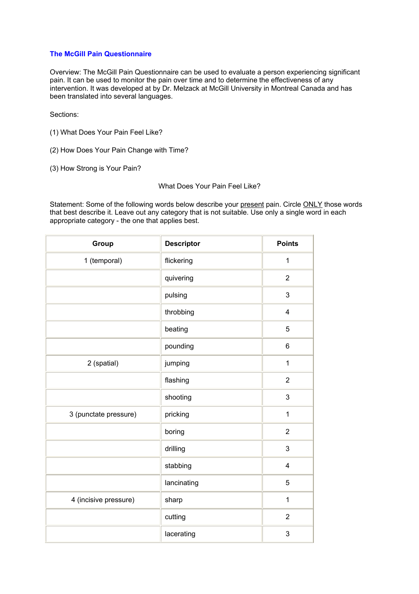## **The McGill Pain Questionnaire**

Overview: The McGill Pain Questionnaire can be used to evaluate a person experiencing significant pain. It can be used to monitor the pain over time and to determine the effectiveness of any intervention. It was developed at by Dr. Melzack at McGill University in Montreal Canada and has been translated into several languages.

Sections:

- (1) What Does Your Pain Feel Like?
- (2) How Does Your Pain Change with Time?
- (3) How Strong is Your Pain?

## What Does Your Pain Feel Like?

Statement: Some of the following words below describe your present pain. Circle ONLY those words that best describe it. Leave out any category that is not suitable. Use only a single word in each appropriate category - the one that applies best.

| Group                 | <b>Descriptor</b> | <b>Points</b>  |
|-----------------------|-------------------|----------------|
| 1 (temporal)          | flickering        | $\mathbf{1}$   |
|                       | quivering         | $\overline{2}$ |
|                       | pulsing           | 3              |
|                       | throbbing         | 4              |
|                       | beating           | 5              |
|                       | pounding          | 6              |
| 2 (spatial)           | jumping           | 1              |
|                       | flashing          | $\overline{2}$ |
|                       | shooting          | 3              |
| 3 (punctate pressure) | pricking          | $\mathbf{1}$   |
|                       | boring            | $\overline{2}$ |
|                       | drilling          | 3              |
|                       | stabbing          | 4              |
|                       | lancinating       | 5              |
| 4 (incisive pressure) | sharp             | $\mathbf 1$    |
|                       | cutting           | $\overline{2}$ |
|                       | lacerating        | 3              |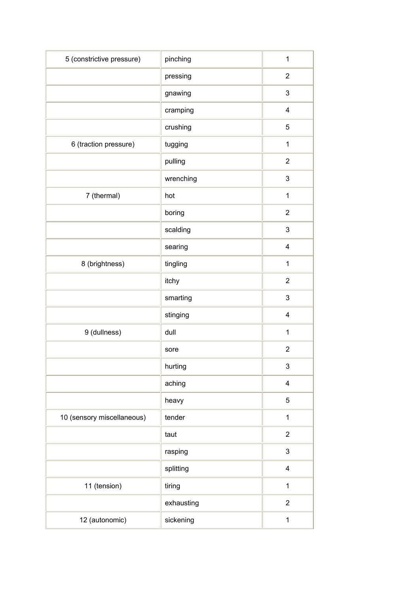| 5 (constrictive pressure)  | pinching   | $\mathbf 1$             |
|----------------------------|------------|-------------------------|
|                            | pressing   | $\overline{2}$          |
|                            | gnawing    | $\mathsf 3$             |
|                            | cramping   | $\overline{\mathbf{4}}$ |
|                            | crushing   | $\mathbf 5$             |
| 6 (traction pressure)      | tugging    | 1                       |
|                            | pulling    | $\overline{2}$          |
|                            | wrenching  | $\mathsf 3$             |
| 7 (thermal)                | hot        | $\mathbf 1$             |
|                            | boring     | $\overline{2}$          |
|                            | scalding   | $\mathsf 3$             |
|                            | searing    | $\overline{\mathbf{4}}$ |
| 8 (brightness)             | tingling   | $\mathbf 1$             |
|                            | itchy      | $\boldsymbol{2}$        |
|                            | smarting   | 3                       |
|                            | stinging   | 4                       |
| 9 (dullness)               | dull       | 1                       |
|                            | sore       | $\boldsymbol{2}$        |
|                            | hurting    | 3                       |
|                            | aching     | $\overline{\mathbf{4}}$ |
|                            | heavy      | 5                       |
| 10 (sensory miscellaneous) | tender     | $\mathbf{1}$            |
|                            | taut       | $\sqrt{2}$              |
|                            | rasping    | $\mathsf 3$             |
|                            | splitting  | 4                       |
| 11 (tension)               | tiring     | $\mathbf{1}$            |
|                            | exhausting | $\boldsymbol{2}$        |
| 12 (autonomic)             | sickening  | 1                       |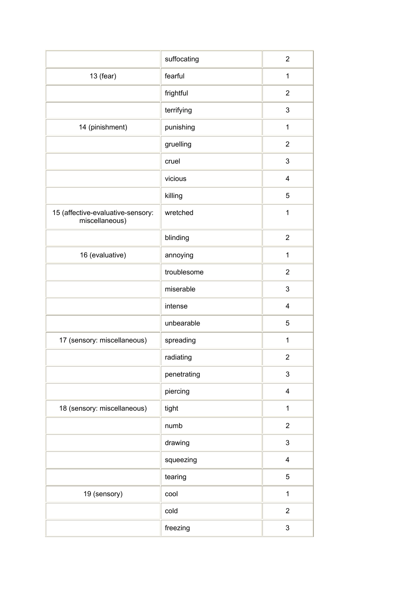|                                                     | suffocating | $\overline{2}$            |
|-----------------------------------------------------|-------------|---------------------------|
| $13$ (fear)                                         | fearful     | 1                         |
|                                                     | frightful   | $\overline{2}$            |
|                                                     | terrifying  | 3                         |
| 14 (pinishment)                                     | punishing   | 1                         |
|                                                     | gruelling   | $\overline{2}$            |
|                                                     | cruel       | 3                         |
|                                                     | vicious     | $\overline{\mathbf{4}}$   |
|                                                     | killing     | 5                         |
| 15 (affective-evaluative-sensory:<br>miscellaneous) | wretched    | 1                         |
|                                                     | blinding    | $\overline{2}$            |
| 16 (evaluative)                                     | annoying    | $\mathbf{1}$              |
|                                                     | troublesome | $\overline{2}$            |
|                                                     | miserable   | $\ensuremath{\mathsf{3}}$ |
|                                                     | intense     | 4                         |
|                                                     | unbearable  | 5                         |
| 17 (sensory: miscellaneous)                         | spreading   | $\mathbf{1}$              |
|                                                     | radiating   | $\overline{2}$            |
|                                                     | penetrating | $\mathsf 3$               |
|                                                     | piercing    | $\overline{\mathbf{4}}$   |
| 18 (sensory: miscellaneous)                         | tight       | $\mathbf 1$               |
|                                                     | numb        | $\overline{2}$            |
|                                                     | drawing     | $\mathfrak{B}$            |
|                                                     | squeezing   | $\overline{\mathbf{4}}$   |
|                                                     | tearing     | 5                         |
| 19 (sensory)                                        | cool        | $\mathbf 1$               |
|                                                     | cold        | $\overline{2}$            |
|                                                     | freezing    | $\mathfrak{B}$            |
|                                                     |             |                           |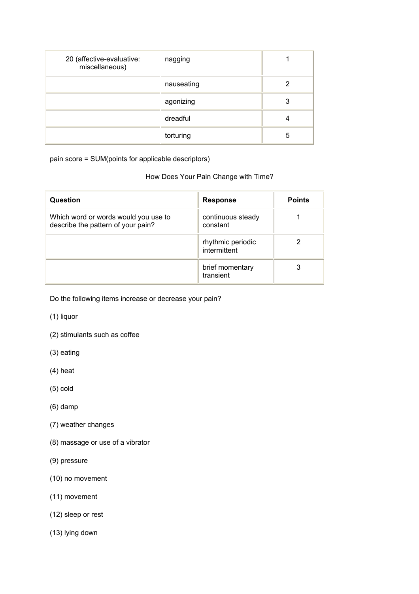| 20 (affective-evaluative:<br>miscellaneous) | nagging    |   |
|---------------------------------------------|------------|---|
|                                             | nauseating | 2 |
|                                             | agonizing  |   |
|                                             | dreadful   |   |
|                                             | torturing  | 5 |

pain score = SUM(points for applicable descriptors)

## How Does Your Pain Change with Time?

| Question                                                                   | <b>Response</b>                   | <b>Points</b> |
|----------------------------------------------------------------------------|-----------------------------------|---------------|
| Which word or words would you use to<br>describe the pattern of your pain? | continuous steady<br>constant     |               |
|                                                                            | rhythmic periodic<br>intermittent | 2             |
|                                                                            | brief momentary<br>transient      | 3             |

Do the following items increase or decrease your pain?

- (1) liquor
- (2) stimulants such as coffee
- (3) eating
- (4) heat
- (5) cold
- (6) damp
- (7) weather changes
- (8) massage or use of a vibrator
- (9) pressure
- (10) no movement
- (11) movement
- (12) sleep or rest
- (13) lying down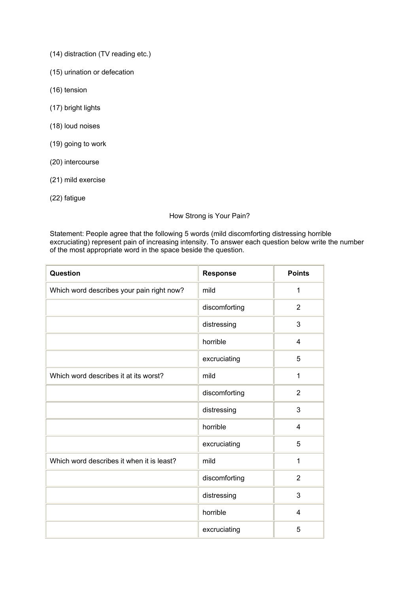- (14) distraction (TV reading etc.)
- (15) urination or defecation
- (16) tension
- (17) bright lights
- (18) loud noises
- (19) going to work
- (20) intercourse
- (21) mild exercise
- (22) fatigue

How Strong is Your Pain?

Statement: People agree that the following 5 words (mild discomforting distressing horrible excruciating) represent pain of increasing intensity. To answer each question below write the number of the most appropriate word in the space beside the question.

| Question                                  | <b>Response</b> | <b>Points</b>  |
|-------------------------------------------|-----------------|----------------|
| Which word describes your pain right now? | mild            | 1              |
|                                           | discomforting   | 2              |
|                                           | distressing     | 3              |
|                                           | horrible        | $\overline{4}$ |
|                                           | excruciating    | 5              |
| Which word describes it at its worst?     | mild            | $\mathbf{1}$   |
|                                           | discomforting   | $\overline{2}$ |
|                                           | distressing     | 3              |
|                                           | horrible        | 4              |
|                                           | excruciating    | 5              |
| Which word describes it when it is least? | mild            | $\mathbf{1}$   |
|                                           | discomforting   | $\overline{2}$ |
|                                           | distressing     | 3              |
|                                           | horrible        | $\overline{4}$ |
|                                           | excruciating    | 5              |